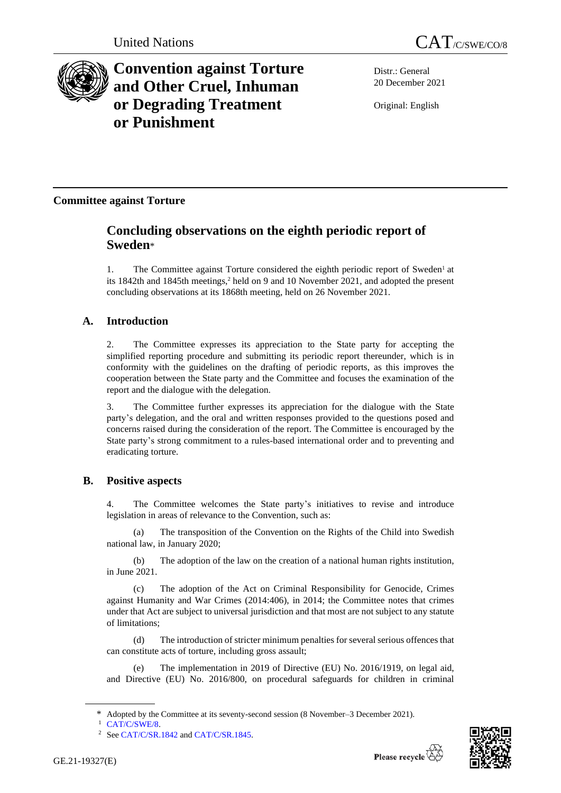

# **Convention against Torture and Other Cruel, Inhuman or Degrading Treatment or Punishment**

Distr.: General 20 December 2021

Original: English

# **Committee against Torture**

# **Concluding observations on the eighth periodic report of Sweden**\*

1. The Committee against Torture considered the eighth periodic report of Sweden<sup>1</sup> at its 1842th and 1845th meetings,<sup>2</sup> held on 9 and 10 November 2021, and adopted the present concluding observations at its 1868th meeting, held on 26 November 2021.

# **A. Introduction**

2. The Committee expresses its appreciation to the State party for accepting the simplified reporting procedure and submitting its periodic report thereunder, which is in conformity with the guidelines on the drafting of periodic reports, as this improves the cooperation between the State party and the Committee and focuses the examination of the report and the dialogue with the delegation.

3. The Committee further expresses its appreciation for the dialogue with the State party's delegation, and the oral and written responses provided to the questions posed and concerns raised during the consideration of the report. The Committee is encouraged by the State party's strong commitment to a rules-based international order and to preventing and eradicating torture.

# **B. Positive aspects**

4. The Committee welcomes the State party's initiatives to revise and introduce legislation in areas of relevance to the Convention, such as:

(a) The transposition of the Convention on the Rights of the Child into Swedish national law, in January 2020;

(b) The adoption of the law on the creation of a national human rights institution, in June 2021.

The adoption of the Act on Criminal Responsibility for Genocide, Crimes against Humanity and War Crimes (2014:406), in 2014; the Committee notes that crimes under that Act are subject to universal jurisdiction and that most are not subject to any statute of limitations;

(d) The introduction of stricter minimum penalties for several serious offences that can constitute acts of torture, including gross assault;

(e) The implementation in 2019 of Directive (EU) No. 2016/1919, on legal aid, and Directive (EU) No. 2016/800, on procedural safeguards for children in criminal



<sup>\*</sup> Adopted by the Committee at its seventy-second session (8 November–3 December 2021).

<sup>&</sup>lt;sup>1</sup> [CAT/C/SWE/8.](http://undocs.org/en/CAT/C/SWE/8)

<sup>&</sup>lt;sup>2</sup> Se[e CAT/C/SR.1842](http://undocs.org/en/CAT/C/SR.1842) an[d CAT/C/SR.1845.](http://undocs.org/en/CAT/C/SR.1845)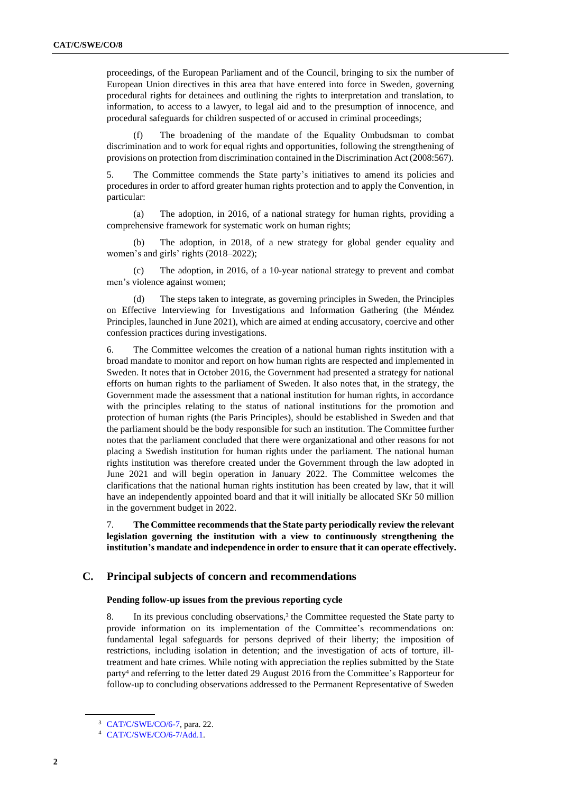proceedings, of the European Parliament and of the Council, bringing to six the number of European Union directives in this area that have entered into force in Sweden, governing procedural rights for detainees and outlining the rights to interpretation and translation, to information, to access to a lawyer, to legal aid and to the presumption of innocence, and procedural safeguards for children suspected of or accused in criminal proceedings;

(f) The broadening of the mandate of the Equality Ombudsman to combat discrimination and to work for equal rights and opportunities, following the strengthening of provisions on protection from discrimination contained in the Discrimination Act (2008:567).

5. The Committee commends the State party's initiatives to amend its policies and procedures in order to afford greater human rights protection and to apply the Convention, in particular:

(a) The adoption, in 2016, of a national strategy for human rights, providing a comprehensive framework for systematic work on human rights;

(b) The adoption, in 2018, of a new strategy for global gender equality and women's and girls' rights (2018–2022);

(c) The adoption, in 2016, of a 10-year national strategy to prevent and combat men's violence against women;

(d) The steps taken to integrate, as governing principles in Sweden, the Principles on Effective Interviewing for Investigations and Information Gathering (the Méndez Principles, launched in June 2021), which are aimed at ending accusatory, coercive and other confession practices during investigations.

6. The Committee welcomes the creation of a national human rights institution with a broad mandate to monitor and report on how human rights are respected and implemented in Sweden. It notes that in October 2016, the Government had presented a strategy for national efforts on human rights to the parliament of Sweden. It also notes that, in the strategy, the Government made the assessment that a national institution for human rights, in accordance with the principles relating to the status of national institutions for the promotion and protection of human rights (the Paris Principles), should be established in Sweden and that the parliament should be the body responsible for such an institution. The Committee further notes that the parliament concluded that there were organizational and other reasons for not placing a Swedish institution for human rights under the parliament. The national human rights institution was therefore created under the Government through the law adopted in June 2021 and will begin operation in January 2022. The Committee welcomes the clarifications that the national human rights institution has been created by law, that it will have an independently appointed board and that it will initially be allocated SKr 50 million in the government budget in 2022.

7. **The Committee recommendsthat the State party periodically review the relevant legislation governing the institution with a view to continuously strengthening the institution's mandate and independence in order to ensure that it can operate effectively.**

# **C. Principal subjects of concern and recommendations**

### **Pending follow-up issues from the previous reporting cycle**

8. In its previous concluding observations,<sup>3</sup> the Committee requested the State party to provide information on its implementation of the Committee's recommendations on: fundamental legal safeguards for persons deprived of their liberty; the imposition of restrictions, including isolation in detention; and the investigation of acts of torture, illtreatment and hate crimes. While noting with appreciation the replies submitted by the State party<sup>4</sup> and referring to the letter dated 29 August 2016 from the Committee's Rapporteur for follow-up to concluding observations addressed to the Permanent Representative of Sweden

<sup>3</sup> [CAT/C/SWE/CO/6-7,](http://undocs.org/en/CAT/C/SWE/CO/6-7) para. 22.

<sup>4</sup> [CAT/C/SWE/CO/6-7/Add.1.](http://undocs.org/en/CAT/C/SWE/CO/6-7/Add.1)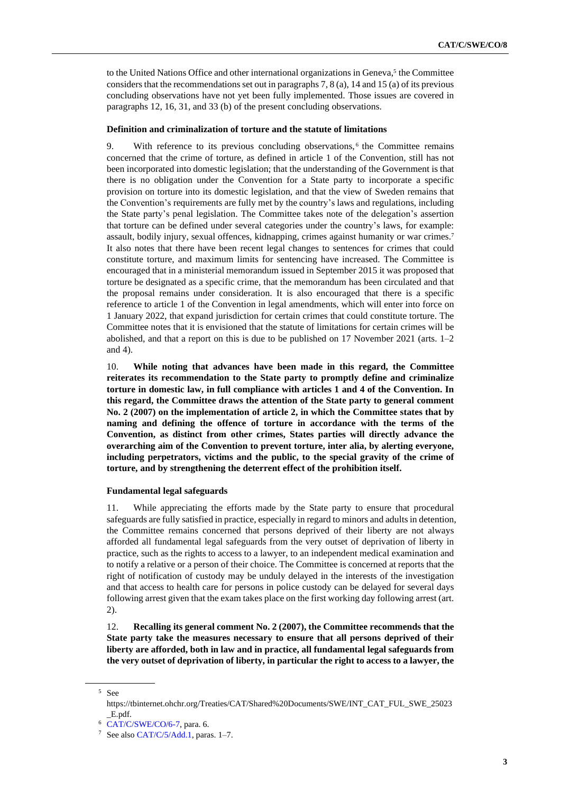to the United Nations Office and other international organizations in Geneva,<sup>5</sup> the Committee considers that the recommendations set out in paragraphs 7, 8 (a), 14 and 15 (a) of its previous concluding observations have not yet been fully implemented. Those issues are covered in paragraphs 12, 16, 31, and 33 (b) of the present concluding observations.

#### **Definition and criminalization of torture and the statute of limitations**

9. With reference to its previous concluding observations,<sup>6</sup> the Committee remains concerned that the crime of torture, as defined in article 1 of the Convention, still has not been incorporated into domestic legislation; that the understanding of the Government is that there is no obligation under the Convention for a State party to incorporate a specific provision on torture into its domestic legislation, and that the view of Sweden remains that the Convention's requirements are fully met by the country's laws and regulations, including the State party's penal legislation. The Committee takes note of the delegation's assertion that torture can be defined under several categories under the country's laws, for example: assault, bodily injury, sexual offences, kidnapping, crimes against humanity or war crimes.<sup>7</sup> It also notes that there have been recent legal changes to sentences for crimes that could constitute torture, and maximum limits for sentencing have increased. The Committee is encouraged that in a ministerial memorandum issued in September 2015 it was proposed that torture be designated as a specific crime, that the memorandum has been circulated and that the proposal remains under consideration. It is also encouraged that there is a specific reference to article 1 of the Convention in legal amendments, which will enter into force on 1 January 2022, that expand jurisdiction for certain crimes that could constitute torture. The Committee notes that it is envisioned that the statute of limitations for certain crimes will be abolished, and that a report on this is due to be published on 17 November 2021 (arts. 1–2 and 4).

10. **While noting that advances have been made in this regard, the Committee reiterates its recommendation to the State party to promptly define and criminalize torture in domestic law, in full compliance with articles 1 and 4 of the Convention. In this regard, the Committee draws the attention of the State party to general comment No. 2 (2007) on the implementation of article 2, in which the Committee states that by naming and defining the offence of torture in accordance with the terms of the Convention, as distinct from other crimes, States parties will directly advance the overarching aim of the Convention to prevent torture, inter alia, by alerting everyone, including perpetrators, victims and the public, to the special gravity of the crime of torture, and by strengthening the deterrent effect of the prohibition itself.**

# **Fundamental legal safeguards**

11. While appreciating the efforts made by the State party to ensure that procedural safeguards are fully satisfied in practice, especially in regard to minors and adults in detention, the Committee remains concerned that persons deprived of their liberty are not always afforded all fundamental legal safeguards from the very outset of deprivation of liberty in practice, such as the rights to access to a lawyer, to an independent medical examination and to notify a relative or a person of their choice. The Committee is concerned at reports that the right of notification of custody may be unduly delayed in the interests of the investigation and that access to health care for persons in police custody can be delayed for several days following arrest given that the exam takes place on the first working day following arrest (art. 2).

12. **Recalling its general comment No. 2 (2007), the Committee recommends that the State party take the measures necessary to ensure that all persons deprived of their liberty are afforded, both in law and in practice, all fundamental legal safeguards from the very outset of deprivation of liberty, in particular the right to access to a lawyer, the**

<sup>5</sup> See

https://tbinternet.ohchr.org/Treaties/CAT/Shared%20Documents/SWE/INT\_CAT\_FUL\_SWE\_25023 \_E.pdf.

<sup>6</sup> [CAT/C/SWE/CO/6-7,](http://undocs.org/en/CAT/C/SWE/CO/6-7) para. 6.

<sup>&</sup>lt;sup>7</sup> See also [CAT/C/5/Add.1,](http://undocs.org/en/CAT/C/5/Add.1) paras. 1–7.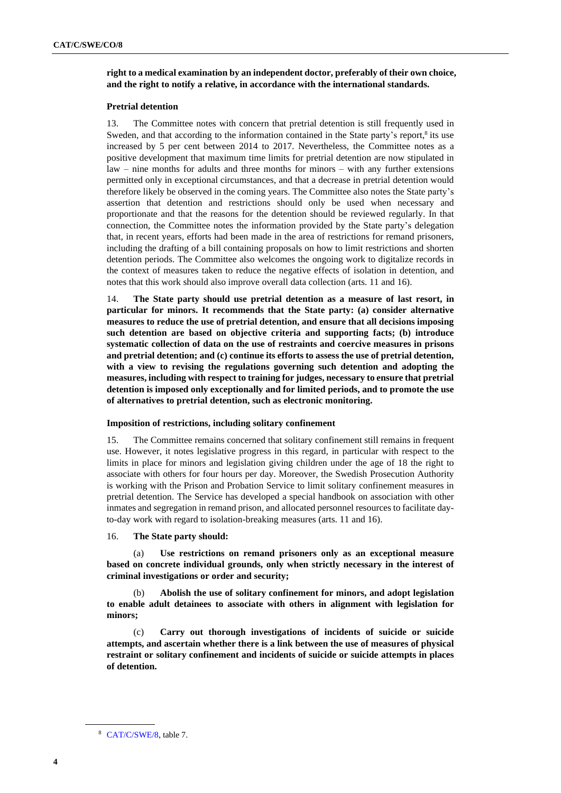**right to a medical examination by an independent doctor, preferably of their own choice, and the right to notify a relative, in accordance with the international standards.**

# **Pretrial detention**

13. The Committee notes with concern that pretrial detention is still frequently used in Sweden, and that according to the information contained in the State party's report, $\frac{8}{3}$  its use increased by 5 per cent between 2014 to 2017. Nevertheless, the Committee notes as a positive development that maximum time limits for pretrial detention are now stipulated in law – nine months for adults and three months for minors – with any further extensions permitted only in exceptional circumstances, and that a decrease in pretrial detention would therefore likely be observed in the coming years. The Committee also notes the State party's assertion that detention and restrictions should only be used when necessary and proportionate and that the reasons for the detention should be reviewed regularly. In that connection, the Committee notes the information provided by the State party's delegation that, in recent years, efforts had been made in the area of restrictions for remand prisoners, including the drafting of a bill containing proposals on how to limit restrictions and shorten detention periods. The Committee also welcomes the ongoing work to digitalize records in the context of measures taken to reduce the negative effects of isolation in detention, and notes that this work should also improve overall data collection (arts. 11 and 16).

14. **The State party should use pretrial detention as a measure of last resort, in particular for minors. It recommends that the State party: (a) consider alternative measures to reduce the use of pretrial detention, and ensure that all decisions imposing such detention are based on objective criteria and supporting facts; (b) introduce systematic collection of data on the use of restraints and coercive measures in prisons and pretrial detention; and (c) continue its efforts to assess the use of pretrial detention, with a view to revising the regulations governing such detention and adopting the measures, including with respect to training for judges, necessary to ensure that pretrial detention is imposed only exceptionally and for limited periods, and to promote the use of alternatives to pretrial detention, such as electronic monitoring.**

# **Imposition of restrictions, including solitary confinement**

15. The Committee remains concerned that solitary confinement still remains in frequent use. However, it notes legislative progress in this regard, in particular with respect to the limits in place for minors and legislation giving children under the age of 18 the right to associate with others for four hours per day. Moreover, the Swedish Prosecution Authority is working with the Prison and Probation Service to limit solitary confinement measures in pretrial detention. The Service has developed a special handbook on association with other inmates and segregation in remand prison, and allocated personnel resources to facilitate dayto-day work with regard to isolation-breaking measures (arts. 11 and 16).

16. **The State party should:**

(a) **Use restrictions on remand prisoners only as an exceptional measure based on concrete individual grounds, only when strictly necessary in the interest of criminal investigations or order and security;**

(b) **Abolish the use of solitary confinement for minors, and adopt legislation to enable adult detainees to associate with others in alignment with legislation for minors;**

(c) **Carry out thorough investigations of incidents of suicide or suicide attempts, and ascertain whether there is a link between the use of measures of physical restraint or solitary confinement and incidents of suicide or suicide attempts in places of detention.**

<sup>8</sup> [CAT/C/SWE/8,](http://undocs.org/en/CAT/C/SWE/8) table 7.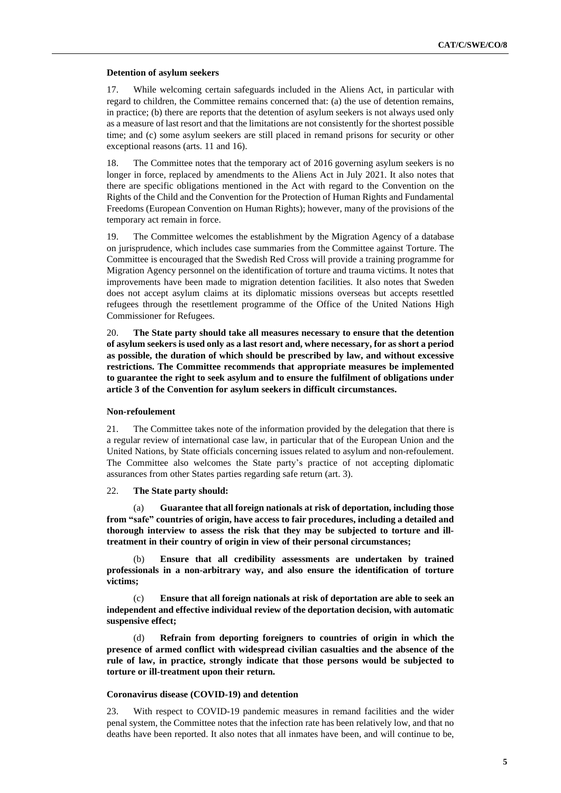### **Detention of asylum seekers**

17. While welcoming certain safeguards included in the Aliens Act, in particular with regard to children, the Committee remains concerned that: (a) the use of detention remains, in practice; (b) there are reports that the detention of asylum seekers is not always used only as a measure of last resort and that the limitations are not consistently for the shortest possible time; and (c) some asylum seekers are still placed in remand prisons for security or other exceptional reasons (arts. 11 and 16).

18. The Committee notes that the temporary act of 2016 governing asylum seekers is no longer in force, replaced by amendments to the Aliens Act in July 2021. It also notes that there are specific obligations mentioned in the Act with regard to the Convention on the Rights of the Child and the Convention for the Protection of Human Rights and Fundamental Freedoms (European Convention on Human Rights); however, many of the provisions of the temporary act remain in force.

19. The Committee welcomes the establishment by the Migration Agency of a database on jurisprudence, which includes case summaries from the Committee against Torture. The Committee is encouraged that the Swedish Red Cross will provide a training programme for Migration Agency personnel on the identification of torture and trauma victims. It notes that improvements have been made to migration detention facilities. It also notes that Sweden does not accept asylum claims at its diplomatic missions overseas but accepts resettled refugees through the resettlement programme of the Office of the United Nations High Commissioner for Refugees.

20. **The State party should take all measures necessary to ensure that the detention of asylum seekers is used only as a last resort and, where necessary, for as short a period as possible, the duration of which should be prescribed by law, and without excessive restrictions. The Committee recommends that appropriate measures be implemented to guarantee the right to seek asylum and to ensure the fulfilment of obligations under article 3 of the Convention for asylum seekers in difficult circumstances.**

# **Non-refoulement**

21. The Committee takes note of the information provided by the delegation that there is a regular review of international case law, in particular that of the European Union and the United Nations, by State officials concerning issues related to asylum and non-refoulement. The Committee also welcomes the State party's practice of not accepting diplomatic assurances from other States parties regarding safe return (art. 3).

# 22. **The State party should:**

(a) **Guarantee that all foreign nationals at risk of deportation, including those from "safe" countries of origin, have access to fair procedures, including a detailed and thorough interview to assess the risk that they may be subjected to torture and illtreatment in their country of origin in view of their personal circumstances;**

(b) **Ensure that all credibility assessments are undertaken by trained professionals in a non-arbitrary way, and also ensure the identification of torture victims;**

(c) **Ensure that all foreign nationals at risk of deportation are able to seek an independent and effective individual review of the deportation decision, with automatic suspensive effect;**

(d) **Refrain from deporting foreigners to countries of origin in which the presence of armed conflict with widespread civilian casualties and the absence of the rule of law, in practice, strongly indicate that those persons would be subjected to torture or ill-treatment upon their return.**

#### **Coronavirus disease (COVID-19) and detention**

23. With respect to COVID-19 pandemic measures in remand facilities and the wider penal system, the Committee notes that the infection rate has been relatively low, and that no deaths have been reported. It also notes that all inmates have been, and will continue to be,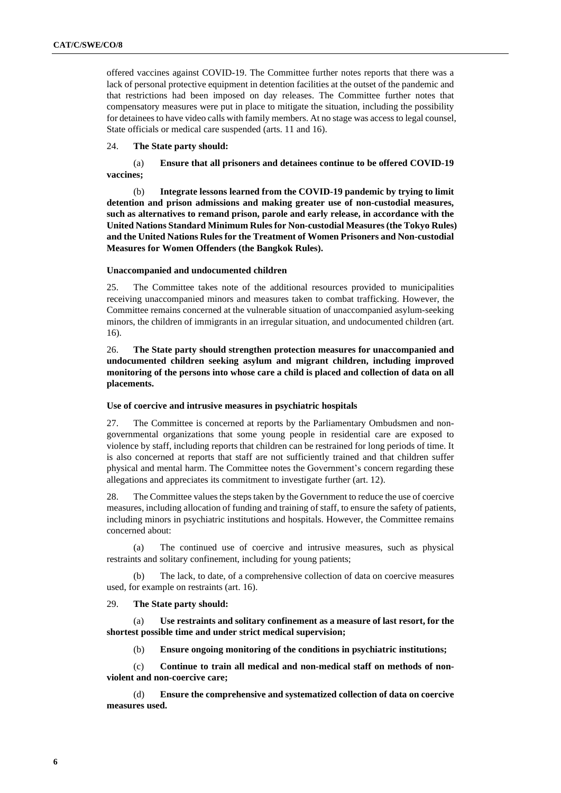offered vaccines against COVID-19. The Committee further notes reports that there was a lack of personal protective equipment in detention facilities at the outset of the pandemic and that restrictions had been imposed on day releases. The Committee further notes that compensatory measures were put in place to mitigate the situation, including the possibility for detainees to have video calls with family members. At no stage was access to legal counsel, State officials or medical care suspended (arts. 11 and 16).

# 24. **The State party should:**

(a) **Ensure that all prisoners and detainees continue to be offered COVID-19 vaccines;**

(b) **Integrate lessons learned from the COVID-19 pandemic by trying to limit detention and prison admissions and making greater use of non-custodial measures, such as alternatives to remand prison, parole and early release, in accordance with the United Nations Standard Minimum Rulesfor Non-custodial Measures(the Tokyo Rules) and the United Nations Rules for the Treatment of Women Prisoners and Non-custodial Measures for Women Offenders (the Bangkok Rules).**

# **Unaccompanied and undocumented children**

25. The Committee takes note of the additional resources provided to municipalities receiving unaccompanied minors and measures taken to combat trafficking. However, the Committee remains concerned at the vulnerable situation of unaccompanied asylum-seeking minors, the children of immigrants in an irregular situation, and undocumented children (art. 16).

26. **The State party should strengthen protection measures for unaccompanied and undocumented children seeking asylum and migrant children, including improved monitoring of the persons into whose care a child is placed and collection of data on all placements.**

# **Use of coercive and intrusive measures in psychiatric hospitals**

27. The Committee is concerned at reports by the Parliamentary Ombudsmen and nongovernmental organizations that some young people in residential care are exposed to violence by staff, including reports that children can be restrained for long periods of time. It is also concerned at reports that staff are not sufficiently trained and that children suffer physical and mental harm. The Committee notes the Government's concern regarding these allegations and appreciates its commitment to investigate further (art. 12).

28. The Committee values the steps taken by the Government to reduce the use of coercive measures, including allocation of funding and training of staff, to ensure the safety of patients, including minors in psychiatric institutions and hospitals. However, the Committee remains concerned about:

(a) The continued use of coercive and intrusive measures, such as physical restraints and solitary confinement, including for young patients;

(b) The lack, to date, of a comprehensive collection of data on coercive measures used, for example on restraints (art. 16).

### 29. **The State party should:**

(a) **Use restraints and solitary confinement as a measure of last resort, for the shortest possible time and under strict medical supervision;**

(b) **Ensure ongoing monitoring of the conditions in psychiatric institutions;**

(c) **Continue to train all medical and non-medical staff on methods of nonviolent and non-coercive care;**

(d) **Ensure the comprehensive and systematized collection of data on coercive measures used.**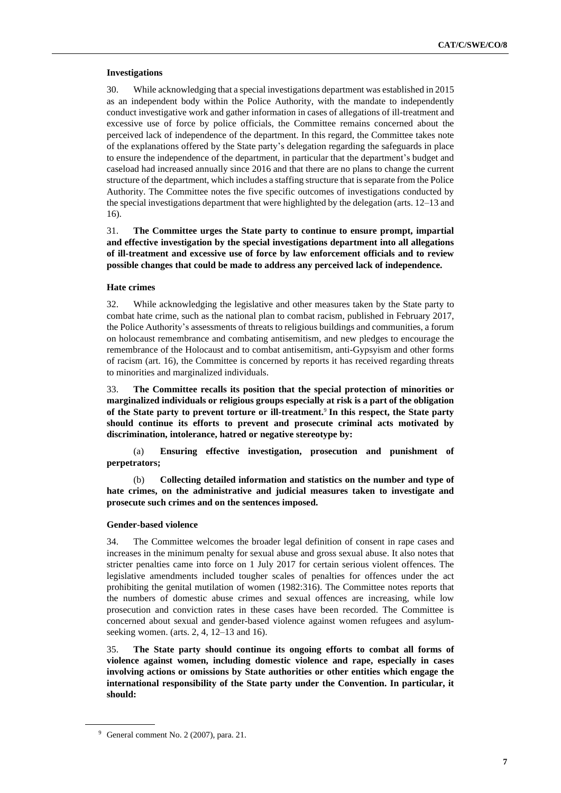# **Investigations**

30. While acknowledging that a special investigations department was established in 2015 as an independent body within the Police Authority, with the mandate to independently conduct investigative work and gather information in cases of allegations of ill-treatment and excessive use of force by police officials, the Committee remains concerned about the perceived lack of independence of the department. In this regard, the Committee takes note of the explanations offered by the State party's delegation regarding the safeguards in place to ensure the independence of the department, in particular that the department's budget and caseload had increased annually since 2016 and that there are no plans to change the current structure of the department, which includes a staffing structure that is separate from the Police Authority. The Committee notes the five specific outcomes of investigations conducted by the special investigations department that were highlighted by the delegation (arts. 12–13 and 16).

31. **The Committee urges the State party to continue to ensure prompt, impartial and effective investigation by the special investigations department into all allegations of ill-treatment and excessive use of force by law enforcement officials and to review possible changes that could be made to address any perceived lack of independence.**

# **Hate crimes**

32. While acknowledging the legislative and other measures taken by the State party to combat hate crime, such as the national plan to combat racism, published in February 2017, the Police Authority's assessments of threats to religious buildings and communities, a forum on holocaust remembrance and combating antisemitism, and new pledges to encourage the remembrance of the Holocaust and to combat antisemitism, anti-Gypsyism and other forms of racism (art. 16), the Committee is concerned by reports it has received regarding threats to minorities and marginalized individuals.

33. **The Committee recalls its position that the special protection of minorities or marginalized individuals or religious groups especially at risk is a part of the obligation of the State party to prevent torture or ill-treatment.**<sup>9</sup> **In this respect, the State party should continue its efforts to prevent and prosecute criminal acts motivated by discrimination, intolerance, hatred or negative stereotype by:**

(a) **Ensuring effective investigation, prosecution and punishment of perpetrators;**

(b) **Collecting detailed information and statistics on the number and type of hate crimes, on the administrative and judicial measures taken to investigate and prosecute such crimes and on the sentences imposed.**

### **Gender-based violence**

34. The Committee welcomes the broader legal definition of consent in rape cases and increases in the minimum penalty for sexual abuse and gross sexual abuse. It also notes that stricter penalties came into force on 1 July 2017 for certain serious violent offences. The legislative amendments included tougher scales of penalties for offences under the act prohibiting the genital mutilation of women (1982:316). The Committee notes reports that the numbers of domestic abuse crimes and sexual offences are increasing, while low prosecution and conviction rates in these cases have been recorded. The Committee is concerned about sexual and gender-based violence against women refugees and asylumseeking women. (arts. 2, 4, 12–13 and 16).

35. **The State party should continue its ongoing efforts to combat all forms of violence against women, including domestic violence and rape, especially in cases involving actions or omissions by State authorities or other entities which engage the international responsibility of the State party under the Convention. In particular, it should:**

<sup>9</sup> General comment No. 2 (2007), para. 21.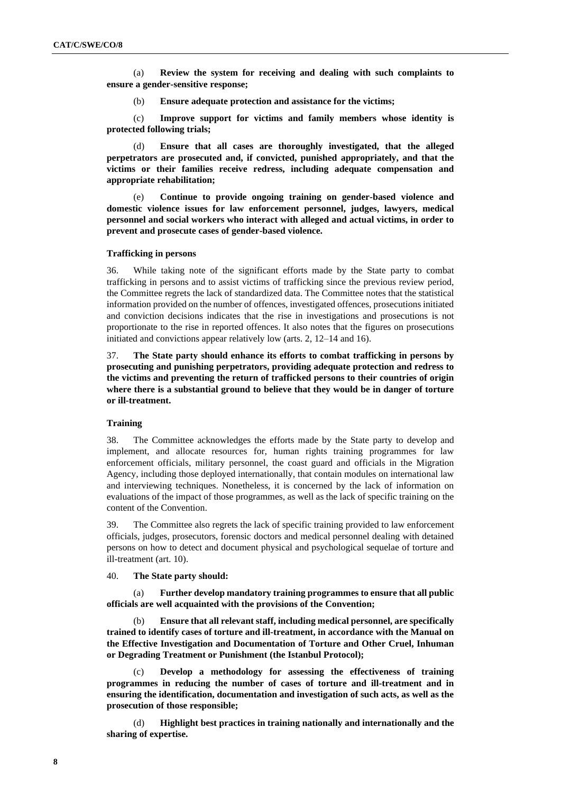(a) **Review the system for receiving and dealing with such complaints to ensure a gender-sensitive response;**

(b) **Ensure adequate protection and assistance for the victims;**

(c) **Improve support for victims and family members whose identity is protected following trials;**

(d) **Ensure that all cases are thoroughly investigated, that the alleged perpetrators are prosecuted and, if convicted, punished appropriately, and that the victims or their families receive redress, including adequate compensation and appropriate rehabilitation;**

(e) **Continue to provide ongoing training on gender-based violence and domestic violence issues for law enforcement personnel, judges, lawyers, medical personnel and social workers who interact with alleged and actual victims, in order to prevent and prosecute cases of gender-based violence.**

#### **Trafficking in persons**

36. While taking note of the significant efforts made by the State party to combat trafficking in persons and to assist victims of trafficking since the previous review period, the Committee regrets the lack of standardized data. The Committee notes that the statistical information provided on the number of offences, investigated offences, prosecutions initiated and conviction decisions indicates that the rise in investigations and prosecutions is not proportionate to the rise in reported offences. It also notes that the figures on prosecutions initiated and convictions appear relatively low (arts. 2, 12–14 and 16).

37. **The State party should enhance its efforts to combat trafficking in persons by prosecuting and punishing perpetrators, providing adequate protection and redress to the victims and preventing the return of trafficked persons to their countries of origin where there is a substantial ground to believe that they would be in danger of torture or ill-treatment.**

# **Training**

38. The Committee acknowledges the efforts made by the State party to develop and implement, and allocate resources for, human rights training programmes for law enforcement officials, military personnel, the coast guard and officials in the Migration Agency, including those deployed internationally, that contain modules on international law and interviewing techniques. Nonetheless, it is concerned by the lack of information on evaluations of the impact of those programmes, as well as the lack of specific training on the content of the Convention.

39. The Committee also regrets the lack of specific training provided to law enforcement officials, judges, prosecutors, forensic doctors and medical personnel dealing with detained persons on how to detect and document physical and psychological sequelae of torture and ill-treatment (art. 10).

40. **The State party should:**

(a) **Further develop mandatory training programmes to ensure that all public officials are well acquainted with the provisions of the Convention;**

(b) **Ensure that all relevant staff, including medical personnel, are specifically trained to identify cases of torture and ill-treatment, in accordance with the Manual on the Effective Investigation and Documentation of Torture and Other Cruel, Inhuman or Degrading Treatment or Punishment (the Istanbul Protocol);**

(c) **Develop a methodology for assessing the effectiveness of training programmes in reducing the number of cases of torture and ill-treatment and in ensuring the identification, documentation and investigation of such acts, as well as the prosecution of those responsible;**

(d) **Highlight best practices in training nationally and internationally and the sharing of expertise.**